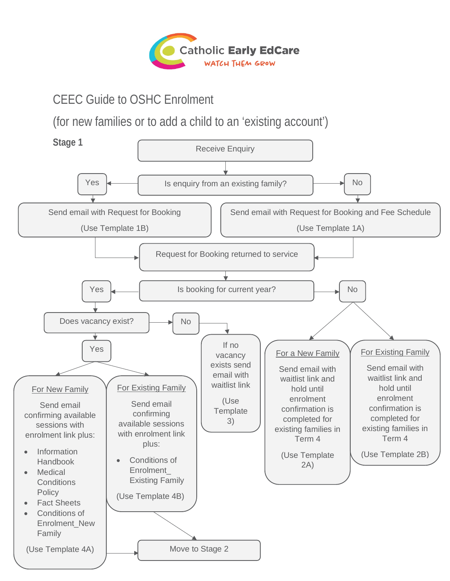

# CEEC Guide to OSHC Enrolment

(for new families or to add a child to an 'existing account')

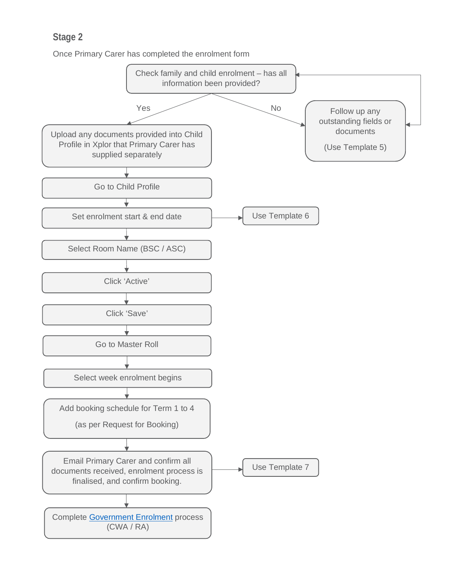## **Stage 2**

Once Primary Carer has completed the enrolment form

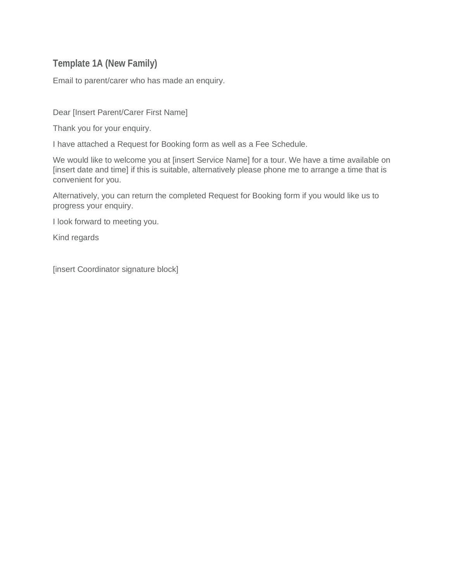#### **Template 1A (New Family)**

Email to parent/carer who has made an enquiry.

Dear [Insert Parent/Carer First Name]

Thank you for your enquiry.

I have attached a Request for Booking form as well as a Fee Schedule.

We would like to welcome you at [insert Service Name] for a tour. We have a time available on [insert date and time] if this is suitable, alternatively please phone me to arrange a time that is convenient for you.

Alternatively, you can return the completed Request for Booking form if you would like us to progress your enquiry.

I look forward to meeting you.

Kind regards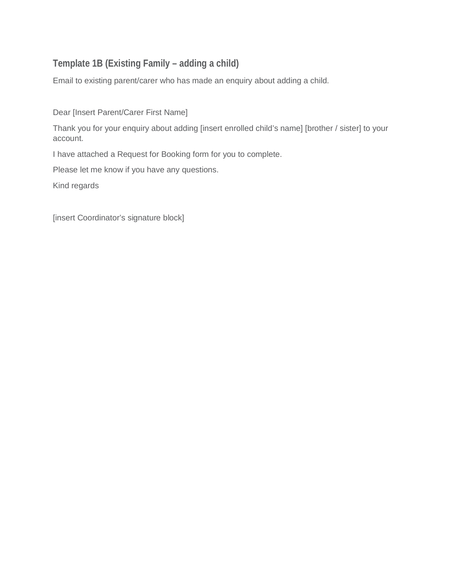## **Template 1B (Existing Family – adding a child)**

Email to existing parent/carer who has made an enquiry about adding a child.

Dear [Insert Parent/Carer First Name]

Thank you for your enquiry about adding [insert enrolled child's name] [brother / sister] to your account.

I have attached a Request for Booking form for you to complete.

Please let me know if you have any questions.

Kind regards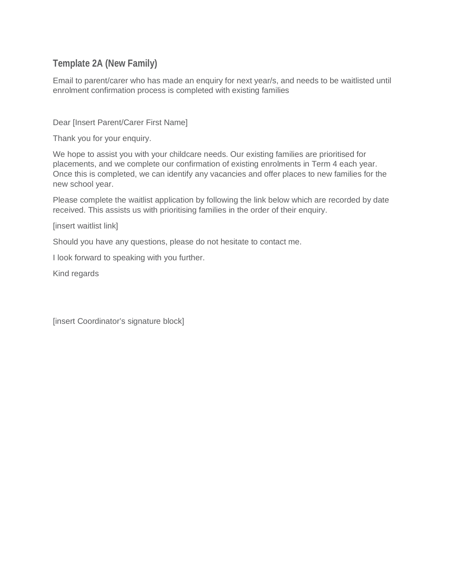#### **Template 2A (New Family)**

Email to parent/carer who has made an enquiry for next year/s, and needs to be waitlisted until enrolment confirmation process is completed with existing families

Dear [Insert Parent/Carer First Name]

Thank you for your enquiry.

We hope to assist you with your childcare needs. Our existing families are prioritised for placements, and we complete our confirmation of existing enrolments in Term 4 each year. Once this is completed, we can identify any vacancies and offer places to new families for the new school year.

Please complete the waitlist application by following the link below which are recorded by date received. This assists us with prioritising families in the order of their enquiry.

[insert waitlist link]

Should you have any questions, please do not hesitate to contact me.

I look forward to speaking with you further.

Kind regards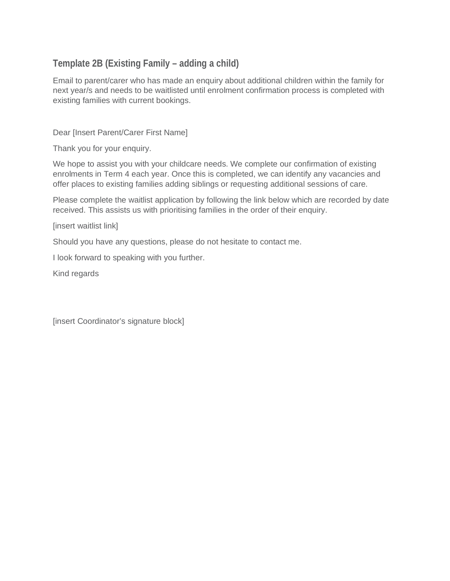## **Template 2B (Existing Family – adding a child)**

Email to parent/carer who has made an enquiry about additional children within the family for next year/s and needs to be waitlisted until enrolment confirmation process is completed with existing families with current bookings.

Dear [Insert Parent/Carer First Name]

Thank you for your enquiry.

We hope to assist you with your childcare needs. We complete our confirmation of existing enrolments in Term 4 each year. Once this is completed, we can identify any vacancies and offer places to existing families adding siblings or requesting additional sessions of care.

Please complete the waitlist application by following the link below which are recorded by date received. This assists us with prioritising families in the order of their enquiry.

[insert waitlist link]

Should you have any questions, please do not hesitate to contact me.

I look forward to speaking with you further.

Kind regards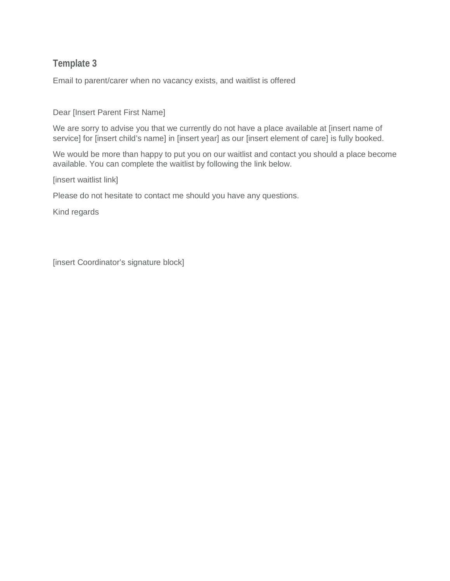Email to parent/carer when no vacancy exists, and waitlist is offered

Dear [Insert Parent First Name]

We are sorry to advise you that we currently do not have a place available at [insert name of service] for [insert child's name] in [insert year] as our [insert element of care] is fully booked.

We would be more than happy to put you on our waitlist and contact you should a place become available. You can complete the waitlist by following the link below.

[insert waitlist link]

Please do not hesitate to contact me should you have any questions.

Kind regards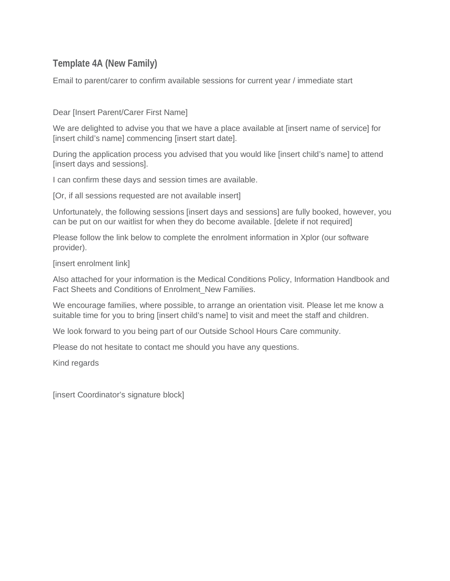#### **Template 4A (New Family)**

Email to parent/carer to confirm available sessions for current year / immediate start

Dear [Insert Parent/Carer First Name]

We are delighted to advise you that we have a place available at [insert name of service] for [insert child's name] commencing [insert start date].

During the application process you advised that you would like [insert child's name] to attend [insert days and sessions].

I can confirm these days and session times are available.

[Or, if all sessions requested are not available insert]

Unfortunately, the following sessions [insert days and sessions] are fully booked, however, you can be put on our waitlist for when they do become available. [delete if not required]

Please follow the link below to complete the enrolment information in Xplor (our software provider).

[insert enrolment link]

Also attached for your information is the Medical Conditions Policy, Information Handbook and Fact Sheets and Conditions of Enrolment New Families.

We encourage families, where possible, to arrange an orientation visit. Please let me know a suitable time for you to bring [insert child's name] to visit and meet the staff and children.

We look forward to you being part of our Outside School Hours Care community.

Please do not hesitate to contact me should you have any questions.

Kind regards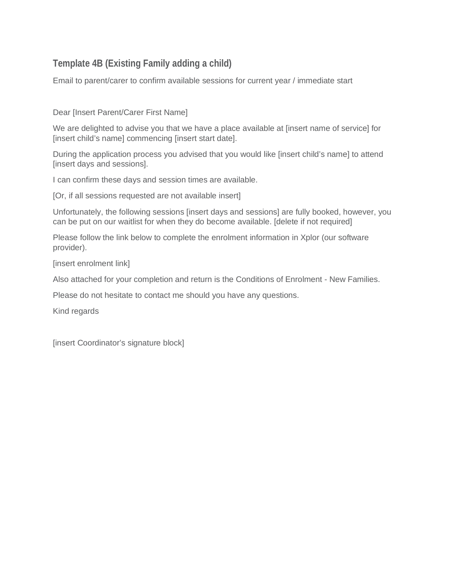## **Template 4B (Existing Family adding a child)**

Email to parent/carer to confirm available sessions for current year / immediate start

Dear [Insert Parent/Carer First Name]

We are delighted to advise you that we have a place available at [insert name of service] for [insert child's name] commencing [insert start date].

During the application process you advised that you would like [insert child's name] to attend [insert days and sessions].

I can confirm these days and session times are available.

[Or, if all sessions requested are not available insert]

Unfortunately, the following sessions [insert days and sessions] are fully booked, however, you can be put on our waitlist for when they do become available. [delete if not required]

Please follow the link below to complete the enrolment information in Xplor (our software provider).

[insert enrolment link]

Also attached for your completion and return is the Conditions of Enrolment - New Families.

Please do not hesitate to contact me should you have any questions.

Kind regards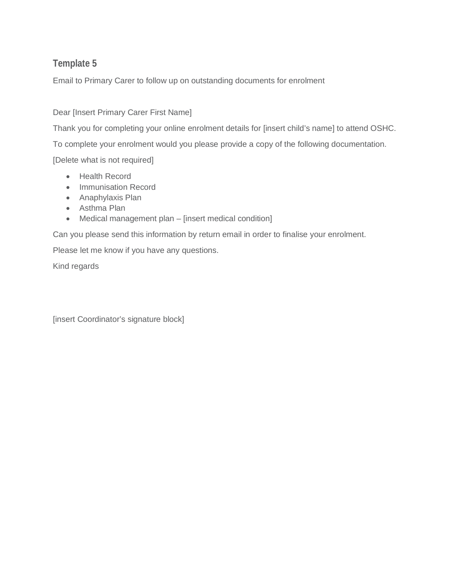Email to Primary Carer to follow up on outstanding documents for enrolment

#### Dear [Insert Primary Carer First Name]

Thank you for completing your online enrolment details for [insert child's name] to attend OSHC.

To complete your enrolment would you please provide a copy of the following documentation.

[Delete what is not required]

- Health Record
- Immunisation Record
- Anaphylaxis Plan
- Asthma Plan
- Medical management plan [insert medical condition]

Can you please send this information by return email in order to finalise your enrolment.

Please let me know if you have any questions.

Kind regards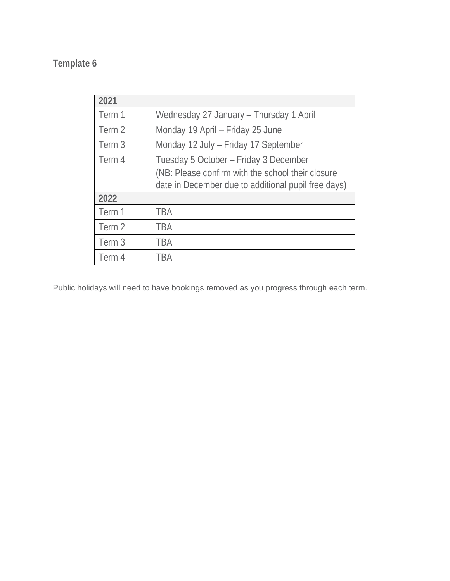| 2021   |                                                                                                                                                   |
|--------|---------------------------------------------------------------------------------------------------------------------------------------------------|
| Term 1 | Wednesday 27 January - Thursday 1 April                                                                                                           |
| Term 2 | Monday 19 April - Friday 25 June                                                                                                                  |
| Term 3 | Monday 12 July - Friday 17 September                                                                                                              |
| Term 4 | Tuesday 5 October - Friday 3 December<br>(NB: Please confirm with the school their closure<br>date in December due to additional pupil free days) |
| 2022   |                                                                                                                                                   |
| Term 1 | <b>TBA</b>                                                                                                                                        |
| Term 2 | <b>TBA</b>                                                                                                                                        |
| Term 3 | <b>TBA</b>                                                                                                                                        |
| Term 4 | TBA                                                                                                                                               |

Public holidays will need to have bookings removed as you progress through each term.